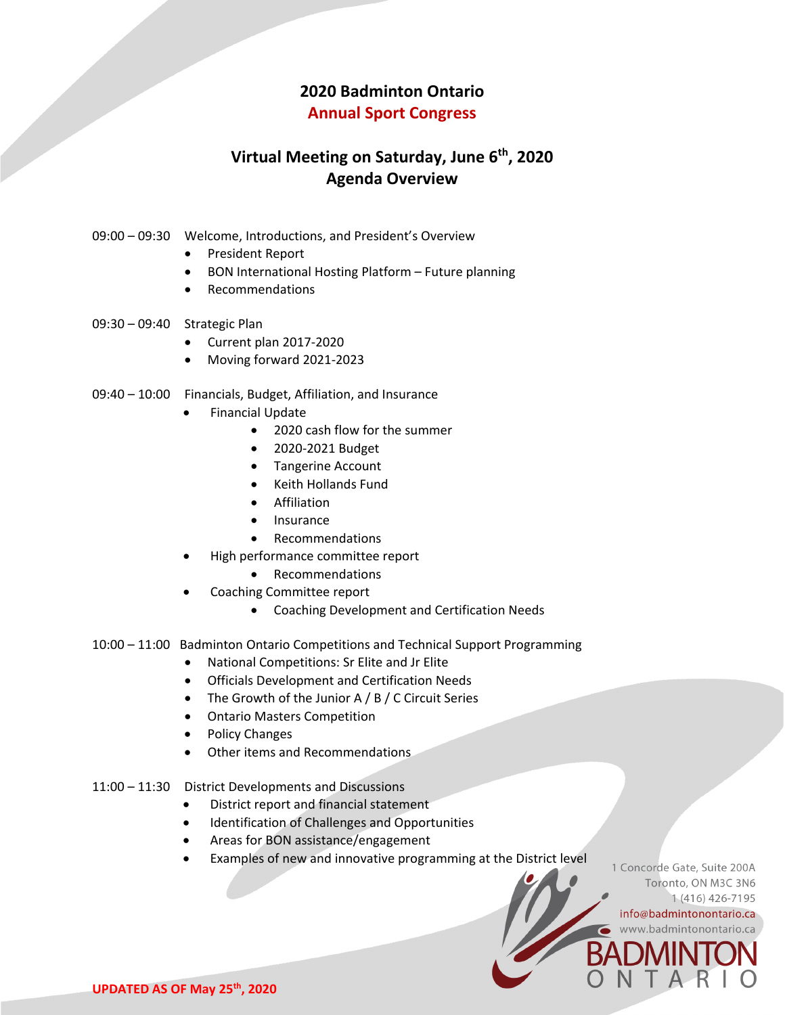# **2020 Badminton Ontario**

#### **Annual Sport Congress**

## **Virtual Meeting on Saturday, June 6th, 2020 Agenda Overview**

- 09:00 09:30 Welcome, Introductions, and President's Overview
	- President Report
	- BON International Hosting Platform Future planning
	- Recommendations
- 09:30 09:40 Strategic Plan
	- Current plan 2017-2020
	- Moving forward 2021-2023
- 09:40 10:00 Financials, Budget, Affiliation, and Insurance
	- Financial Update
		- 2020 cash flow for the summer
		- 2020-2021 Budget
		- Tangerine Account
		- Keith Hollands Fund
		- Affiliation
		- Insurance
		- Recommendations
	- High performance committee report
		- Recommendations
	- Coaching Committee report
		- Coaching Development and Certification Needs
- 10:00 11:00 Badminton Ontario Competitions and Technical Support Programming
	- National Competitions: Sr Elite and Jr Elite
	- Officials Development and Certification Needs
	- The Growth of the Junior A / B / C Circuit Series
	- Ontario Masters Competition
	- Policy Changes
	- Other items and Recommendations
- 11:00 11:30 District Developments and Discussions
	- District report and financial statement
	- Identification of Challenges and Opportunities
	- Areas for BON assistance/engagement
	- Examples of new and innovative programming at the District level

1 Concorde Gate, Suite 200A Toronto, ON M3C 3N6 1 (416) 426-7195 info@badmintonontario.ca www.badmintonontario.ca